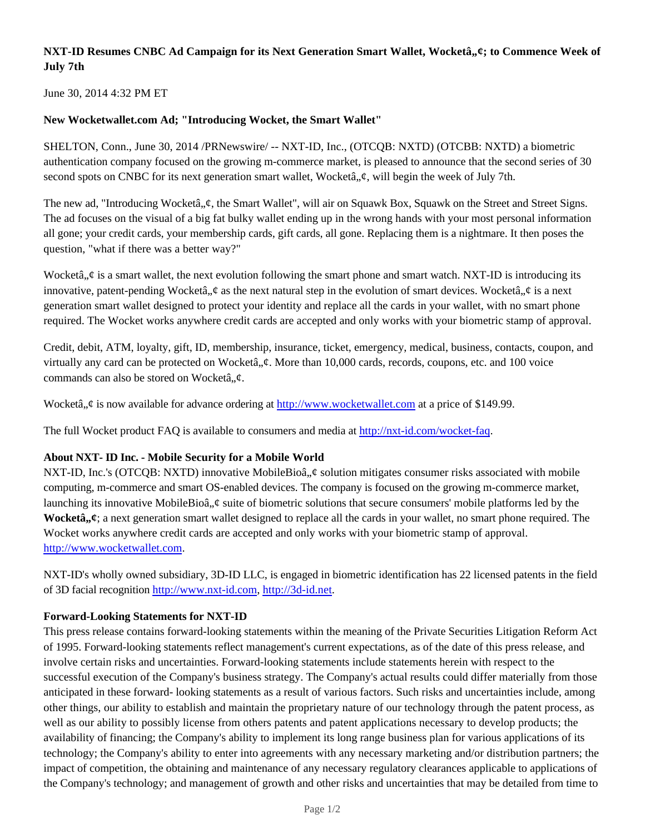# **NXT-ID Resumes CNBC Ad Campaign for its Next Generation Smart Wallet, Wocketâ,,¢; to Commence Week of July 7th**

June 30, 2014 4:32 PM ET

## **New Wocketwallet.com Ad; "Introducing Wocket, the Smart Wallet"**

SHELTON, Conn., June 30, 2014 /PRNewswire/ -- NXT-ID, Inc., (OTCQB: NXTD) (OTCBB: NXTD) a biometric authentication company focused on the growing m-commerce market, is pleased to announce that the second series of 30 second spots on CNBC for its next generation smart wallet, Wocketâ,  $\phi$ , will begin the week of July 7th.

The new ad, "Introducing Wocketâ,  $\phi$ , the Smart Wallet", will air on Squawk Box, Squawk on the Street and Street Signs. The ad focuses on the visual of a big fat bulky wallet ending up in the wrong hands with your most personal information all gone; your credit cards, your membership cards, gift cards, all gone. Replacing them is a nightmare. It then poses the question, "what if there was a better way?"

Wocketâ,  $\phi$  is a smart wallet, the next evolution following the smart phone and smart watch. NXT-ID is introducing its innovative, patent-pending Wocketâ,  $\phi$  as the next natural step in the evolution of smart devices. Wocketâ,  $\phi$  is a next generation smart wallet designed to protect your identity and replace all the cards in your wallet, with no smart phone required. The Wocket works anywhere credit cards are accepted and only works with your biometric stamp of approval.

Credit, debit, ATM, loyalty, gift, ID, membership, insurance, ticket, emergency, medical, business, contacts, coupon, and virtually any card can be protected on Wocketâ,  $\phi$ . More than 10,000 cards, records, coupons, etc. and 100 voice commands can also be stored on Wocketâ. $\phi$ .

Wocketâ,  $\phi$  is now available for advance ordering at http://www.wocketwallet.com at a price of \$149.99.

The full Wocket product FAQ is available to consumers and media at http://nxt-id.com/wocket-faq.

# **About NXT- ID Inc. - Mobile Security for a Mobile World**

NXT-ID, Inc.'s (OTCQB: NXTD) innovative MobileBioâ,  $\phi$  solution mitigates consumer risks associated with mobile computing, m-commerce and smart OS-enabled devices. The company is focused on the growing m-commerce market, launching its innovative MobileBioâ,  $\phi$  suite of biometric solutions that secure consumers' mobile platforms led by the **Wocketâ**,  $\boldsymbol{\psi}$ ; a next generation smart wallet designed to replace all the cards in your wallet, no smart phone required. The Wocket works anywhere credit cards are accepted and only works with your biometric stamp of approval. http://www.wocketwallet.com.

NXT-ID's wholly owned subsidiary, 3D-ID LLC, is engaged in biometric identification has 22 licensed patents in the field of 3D facial recognition http://www.nxt-id.com, http://3d-id.net.

#### **Forward-Looking Statements for NXT-ID**

This press release contains forward-looking statements within the meaning of the Private Securities Litigation Reform Act of 1995. Forward-looking statements reflect management's current expectations, as of the date of this press release, and involve certain risks and uncertainties. Forward-looking statements include statements herein with respect to the successful execution of the Company's business strategy. The Company's actual results could differ materially from those anticipated in these forward- looking statements as a result of various factors. Such risks and uncertainties include, among other things, our ability to establish and maintain the proprietary nature of our technology through the patent process, as well as our ability to possibly license from others patents and patent applications necessary to develop products; the availability of financing; the Company's ability to implement its long range business plan for various applications of its technology; the Company's ability to enter into agreements with any necessary marketing and/or distribution partners; the impact of competition, the obtaining and maintenance of any necessary regulatory clearances applicable to applications of the Company's technology; and management of growth and other risks and uncertainties that may be detailed from time to